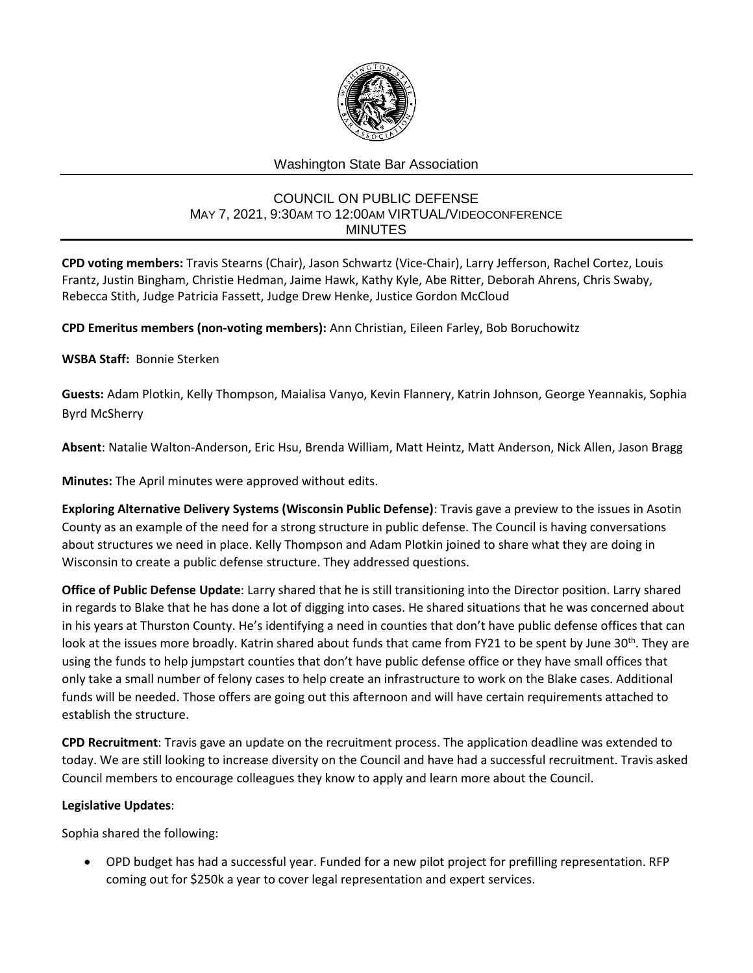

# Washington State Bar Association

## COUNCIL ON PUBLIC DEFENSE MAY 7, 2021, 9:30AM TO 12:00AM VIRTUAL/VIDEOCONFERENCE MINUTES

**CPD voting members:** Travis Stearns (Chair), Jason Schwartz (Vice-Chair), Larry Jefferson, Rachel Cortez, Louis Frantz, Justin Bingham, Christie Hedman, Jaime Hawk, Kathy Kyle, Abe Ritter, Deborah Ahrens, Chris Swaby, Rebecca Stith, Judge Patricia Fassett, Judge Drew Henke, Justice Gordon McCloud

**CPD Emeritus members (non-voting members):** Ann Christian, Eileen Farley, Bob Boruchowitz

## **WSBA Staff:** Bonnie Sterken

**Guests:** Adam Plotkin, Kelly Thompson, Maialisa Vanyo, Kevin Flannery, Katrin Johnson, George Yeannakis, Sophia Byrd McSherry

**Absent**: Natalie Walton-Anderson, Eric Hsu, Brenda William, Matt Heintz, Matt Anderson, Nick Allen, Jason Bragg

**Minutes:** The April minutes were approved without edits.

**Exploring Alternative Delivery Systems (Wisconsin Public Defense)**: Travis gave a preview to the issues in Asotin County as an example of the need for a strong structure in public defense. The Council is having conversations about structures we need in place. Kelly Thompson and Adam Plotkin joined to share what they are doing in Wisconsin to create a public defense structure. They addressed questions.

**Office of Public Defense Update**: Larry shared that he is still transitioning into the Director position. Larry shared in regards to Blake that he has done a lot of digging into cases. He shared situations that he was concerned about in his years at Thurston County. He's identifying a need in counties that don't have public defense offices that can look at the issues more broadly. Katrin shared about funds that came from FY21 to be spent by June 30<sup>th</sup>. They are using the funds to help jumpstart counties that don't have public defense office or they have small offices that only take a small number of felony cases to help create an infrastructure to work on the Blake cases. Additional funds will be needed. Those offers are going out this afternoon and will have certain requirements attached to establish the structure.

**CPD Recruitment**: Travis gave an update on the recruitment process. The application deadline was extended to today. We are still looking to increase diversity on the Council and have had a successful recruitment. Travis asked Council members to encourage colleagues they know to apply and learn more about the Council.

#### **Legislative Updates**:

Sophia shared the following:

 OPD budget has had a successful year. Funded for a new pilot project for prefilling representation. RFP coming out for \$250k a year to cover legal representation and expert services.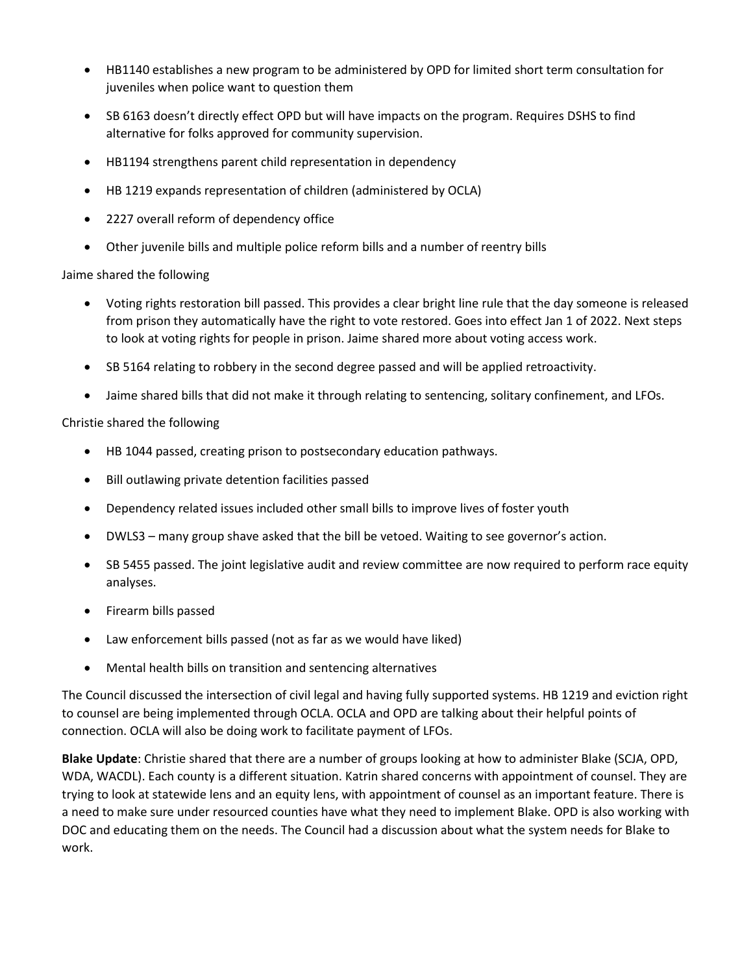- HB1140 establishes a new program to be administered by OPD for limited short term consultation for juveniles when police want to question them
- SB 6163 doesn't directly effect OPD but will have impacts on the program. Requires DSHS to find alternative for folks approved for community supervision.
- HB1194 strengthens parent child representation in dependency
- HB 1219 expands representation of children (administered by OCLA)
- 2227 overall reform of dependency office
- Other juvenile bills and multiple police reform bills and a number of reentry bills

## Jaime shared the following

- Voting rights restoration bill passed. This provides a clear bright line rule that the day someone is released from prison they automatically have the right to vote restored. Goes into effect Jan 1 of 2022. Next steps to look at voting rights for people in prison. Jaime shared more about voting access work.
- SB 5164 relating to robbery in the second degree passed and will be applied retroactivity.
- Jaime shared bills that did not make it through relating to sentencing, solitary confinement, and LFOs.

## Christie shared the following

- HB 1044 passed, creating prison to postsecondary education pathways.
- Bill outlawing private detention facilities passed
- Dependency related issues included other small bills to improve lives of foster youth
- DWLS3 many group shave asked that the bill be vetoed. Waiting to see governor's action.
- SB 5455 passed. The joint legislative audit and review committee are now required to perform race equity analyses.
- Firearm bills passed
- Law enforcement bills passed (not as far as we would have liked)
- Mental health bills on transition and sentencing alternatives

The Council discussed the intersection of civil legal and having fully supported systems. HB 1219 and eviction right to counsel are being implemented through OCLA. OCLA and OPD are talking about their helpful points of connection. OCLA will also be doing work to facilitate payment of LFOs.

**Blake Update**: Christie shared that there are a number of groups looking at how to administer Blake (SCJA, OPD, WDA, WACDL). Each county is a different situation. Katrin shared concerns with appointment of counsel. They are trying to look at statewide lens and an equity lens, with appointment of counsel as an important feature. There is a need to make sure under resourced counties have what they need to implement Blake. OPD is also working with DOC and educating them on the needs. The Council had a discussion about what the system needs for Blake to work.